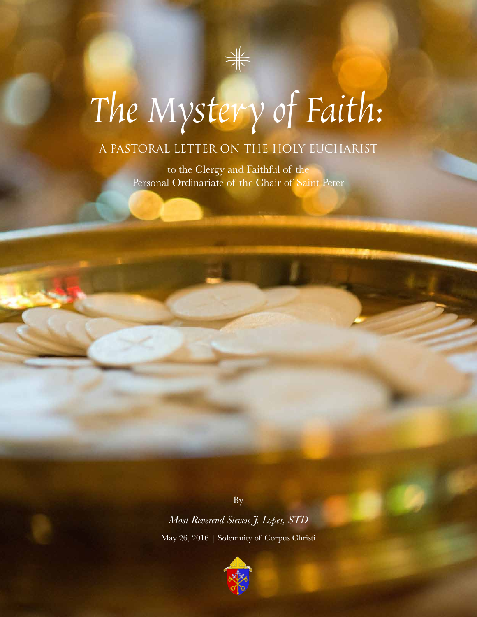

## The Mystery of Faith:

#### A PASTORAL LETTER ON THE HOLY EUCHARIST

to the Clergy and Faithful of the Personal Ordinariate of the Chair of Saint Peter

By

*Most Reverend Steven J. Lopes, STD* May 26, 2016 | Solemnity of Corpus Christi

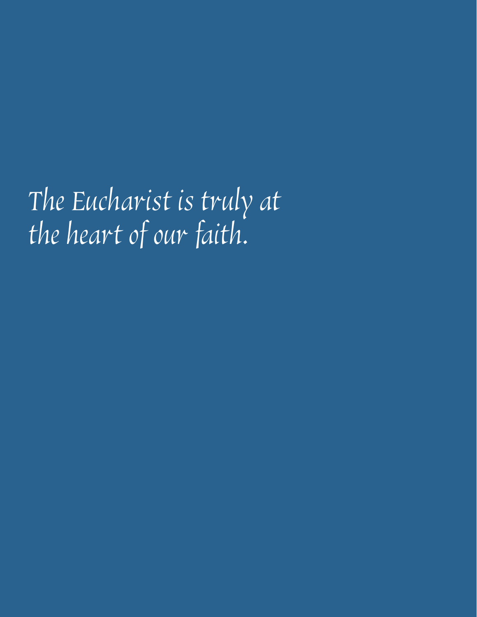The Eucharist is truly at the heart of our faith.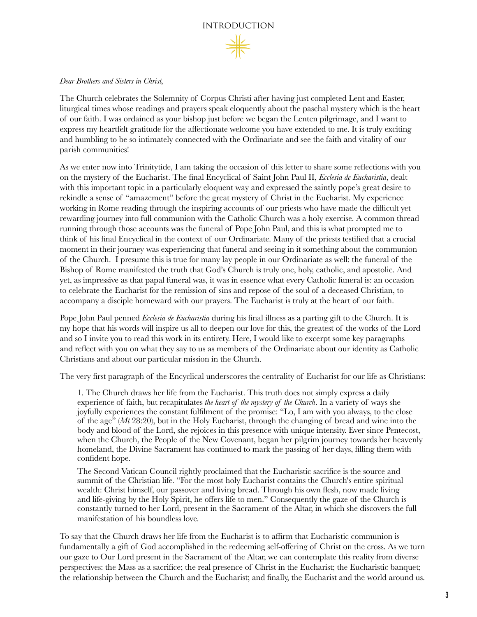#### 米 INTRODUCTION

#### *Dear Brothers and Sisters in Christ,*

The Church celebrates the Solemnity of Corpus Christi after having just completed Lent and Easter, liturgical times whose readings and prayers speak eloquently about the paschal mystery which is the heart of our faith. I was ordained as your bishop just before we began the Lenten pilgrimage, and I want to express my heartfelt gratitude for the affectionate welcome you have extended to me. It is truly exciting and humbling to be so intimately connected with the Ordinariate and see the faith and vitality of our parish communities!

As we enter now into Trinitytide, I am taking the occasion of this letter to share some reflections with you on the mystery of the Eucharist. The final Encyclical of Saint John Paul II, *Ecclesia de Eucharistia*, dealt with this important topic in a particularly eloquent way and expressed the saintly pope's great desire to rekindle a sense of "amazement" before the great mystery of Christ in the Eucharist. My experience working in Rome reading through the inspiring accounts of our priests who have made the difficult yet rewarding journey into full communion with the Catholic Church was a holy exercise. A common thread running through those accounts was the funeral of Pope John Paul, and this is what prompted me to think of his final Encyclical in the context of our Ordinariate. Many of the priests testified that a crucial moment in their journey was experiencing that funeral and seeing in it something about the communion of the Church. I presume this is true for many lay people in our Ordinariate as well: the funeral of the Bishop of Rome manifested the truth that God's Church is truly one, holy, catholic, and apostolic. And yet, as impressive as that papal funeral was, it was in essence what every Catholic funeral is: an occasion to celebrate the Eucharist for the remission of sins and repose of the soul of a deceased Christian, to accompany a disciple homeward with our prayers. The Eucharist is truly at the heart of our faith.

Pope John Paul penned *Ecclesia de Eucharistia* during his final illness as a parting gift to the Church. It is my hope that his words will inspire us all to deepen our love for this, the greatest of the works of the Lord and so I invite you to read this work in its entirety. Here, I would like to excerpt some key paragraphs and reflect with you on what they say to us as members of the Ordinariate about our identity as Catholic Christians and about our particular mission in the Church.

The very first paragraph of the Encyclical underscores the centrality of Eucharist for our life as Christians:

1. The Church draws her life from the Eucharist. This truth does not simply express a daily experience of faith, but recapitulates *the heart of the mystery of the Church*. In a variety of ways she joyfully experiences the constant fulfilment of the promise: "Lo, I am with you always, to the close of the age" (*Mt* 28:20), but in the Holy Eucharist, through the changing of bread and wine into the body and blood of the Lord, she rejoices in this presence with unique intensity. Ever since Pentecost, when the Church, the People of the New Covenant, began her pilgrim journey towards her heavenly homeland, the Divine Sacrament has continued to mark the passing of her days, filling them with confident hope.

The Second Vatican Council rightly proclaimed that the Eucharistic sacrifice is the source and summit of the Christian life. "For the most holy Eucharist contains the Church's entire spiritual wealth: Christ himself, our passover and living bread. Through his own flesh, now made living and life-giving by the Holy Spirit, he offers life to men." Consequently the gaze of the Church is constantly turned to her Lord, present in the Sacrament of the Altar, in which she discovers the full manifestation of his boundless love.

To say that the Church draws her life from the Eucharist is to affirm that Eucharistic communion is fundamentally a gift of God accomplished in the redeeming self-offering of Christ on the cross. As we turn our gaze to Our Lord present in the Sacrament of the Altar, we can contemplate this reality from diverse perspectives: the Mass as a sacrifice; the real presence of Christ in the Eucharist; the Eucharistic banquet; the relationship between the Church and the Eucharist; and finally, the Eucharist and the world around us.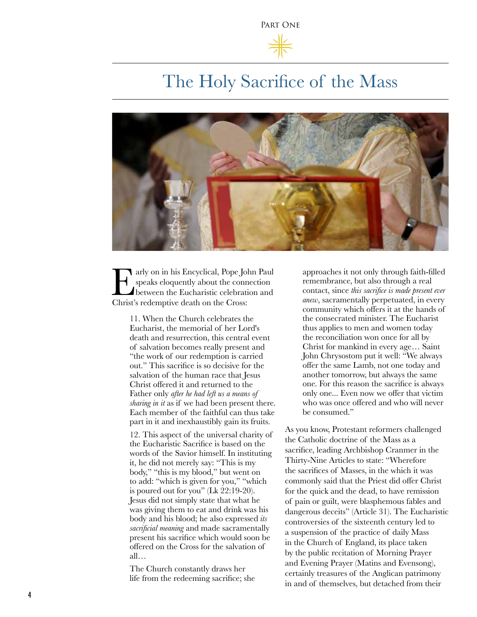

#### The Holy Sacrifice of the Mass



Early on in his Encyclical, Pope John Paul<br>speaks eloquently about the connection<br>between the Eucharistic celebration and<br>Christ's redemptive death on the Cross: speaks eloquently about the connection between the Eucharistic celebration and Christ's redemptive death on the Cross:

> 11. When the Church celebrates the Eucharist, the memorial of her Lord's death and resurrection, this central event of salvation becomes really present and "the work of our redemption is carried out." This sacrifice is so decisive for the salvation of the human race that Jesus Christ offered it and returned to the Father only *after he had left us a means of sharing in it* as if we had been present there. Each member of the faithful can thus take part in it and inexhaustibly gain its fruits.

12. This aspect of the universal charity of the Eucharistic Sacrifice is based on the words of the Savior himself. In instituting it, he did not merely say: "This is my body," "this is my blood," but went on to add: "which is given for you," "which is poured out for you" (Lk 22:19-20). Jesus did not simply state that what he was giving them to eat and drink was his body and his blood; he also expressed *its sacrificial meaning* and made sacramentally present his sacrifice which would soon be offered on the Cross for the salvation of all…

The Church constantly draws her life from the redeeming sacrifice; she approaches it not only through faith-filled remembrance, but also through a real contact, since *this sacrifice is made present ever anew*, sacramentally perpetuated, in every community which offers it at the hands of the consecrated minister. The Eucharist thus applies to men and women today the reconciliation won once for all by Christ for mankind in every age… Saint John Chrysostom put it well: "We always offer the same Lamb, not one today and another tomorrow, but always the same one. For this reason the sacrifice is always only one... Even now we offer that victim who was once offered and who will never be consumed."

As you know, Protestant reformers challenged the Catholic doctrine of the Mass as a sacrifice, leading Archbishop Cranmer in the Thirty-Nine Articles to state: "Wherefore the sacrifices of Masses, in the which it was commonly said that the Priest did offer Christ for the quick and the dead, to have remission of pain or guilt, were blasphemous fables and dangerous deceits" (Article 31). The Eucharistic controversies of the sixteenth century led to a suspension of the practice of daily Mass in the Church of England, its place taken by the public recitation of Morning Prayer and Evening Prayer (Matins and Evensong), certainly treasures of the Anglican patrimony in and of themselves, but detached from their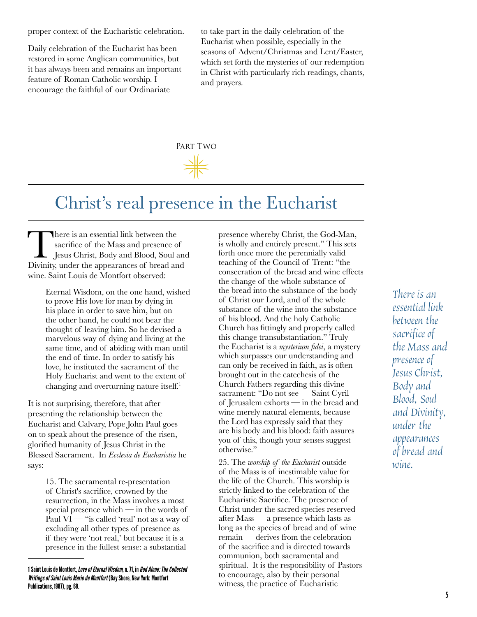proper context of the Eucharistic celebration.

Daily celebration of the Eucharist has been restored in some Anglican communities, but it has always been and remains an important feature of Roman Catholic worship. I encourage the faithful of our Ordinariate

to take part in the daily celebration of the Eucharist when possible, especially in the seasons of Advent/Christmas and Lent/Easter, which set forth the mysteries of our redemption in Christ with particularly rich readings, chants, and prayers.

米 Part Two

#### Christ's real presence in the Eucharist

There is an essential link between the sacrifice of the Mass and presence of Jesus Christ, Body and Blood, Soul and Divinity, under the appearances of bread and sacrifice of the Mass and presence of Jesus Christ, Body and Blood, Soul and wine. Saint Louis de Montfort observed:

> Eternal Wisdom, on the one hand, wished to prove His love for man by dying in his place in order to save him, but on the other hand, he could not bear the thought of leaving him. So he devised a marvelous way of dying and living at the same time, and of abiding with man until the end of time. In order to satisfy his love, he instituted the sacrament of the Holy Eucharist and went to the extent of changing and overturning nature itself.<sup>1</sup>

It is not surprising, therefore, that after presenting the relationship between the Eucharist and Calvary, Pope John Paul goes on to speak about the presence of the risen, glorified humanity of Jesus Christ in the Blessed Sacrament. In *Ecclesia de Eucharistia* he says:

> 15. The sacramental re-presentation of Christ's sacrifice, crowned by the resurrection, in the Mass involves a most special presence which — in the words of Paul  $\overline{\text{VI}}$  — "is called 'real' not as a way of excluding all other types of presence as if they were 'not real,' but because it is a presence in the fullest sense: a substantial

presence whereby Christ, the God-Man, is wholly and entirely present." This sets forth once more the perennially valid teaching of the Council of Trent: "the consecration of the bread and wine effects the change of the whole substance of the bread into the substance of the body of Christ our Lord, and of the whole substance of the wine into the substance of his blood. And the holy Catholic Church has fittingly and properly called this change transubstantiation." Truly the Eucharist is a *mysterium fidei*, a mystery which surpasses our understanding and can only be received in faith, as is often brought out in the catechesis of the Church Fathers regarding this divine sacrament: "Do not see — Saint Cyril of Jerusalem exhorts — in the bread and wine merely natural elements, because the Lord has expressly said that they are his body and his blood: faith assures you of this, though your senses suggest otherwise."

25. The *worship of the Eucharist* outside of the Mass is of inestimable value for the life of the Church. This worship is strictly linked to the celebration of the Eucharistic Sacrifice. The presence of Christ under the sacred species reserved after Mass — a presence which lasts as long as the species of bread and of wine remain — derives from the celebration of the sacrifice and is directed towards communion, both sacramental and spiritual. It is the responsibility of Pastors to encourage, also by their personal witness, the practice of Eucharistic

There is an essential link between the sacrifice of the Mass and presence of Jesus Christ, Body and Blood, Soul and Divinity, under the appearances of bread and wine.

<sup>1</sup> Saint Louis de Montfort, *Love of Eternal Wisdom*, n. 71, in *God Alone: The Collected Writings of Saint Louis Marie de Montfort* (Bay Shore, New York: Montfort Publications, 1987), pg. 68.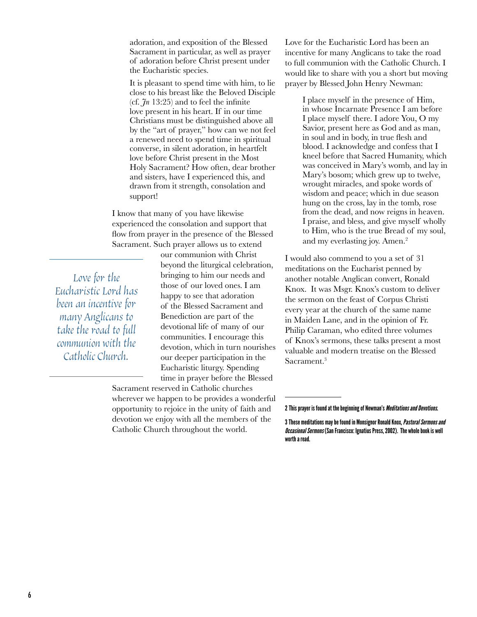adoration, and exposition of the Blessed Sacrament in particular, as well as prayer of adoration before Christ present under the Eucharistic species.

It is pleasant to spend time with him, to lie close to his breast like the Beloved Disciple (cf.  $\mathfrak{f}_n$  13:25) and to feel the infinite love present in his heart. If in our time Christians must be distinguished above all by the "art of prayer," how can we not feel a renewed need to spend time in spiritual converse, in silent adoration, in heartfelt love before Christ present in the Most Holy Sacrament? How often, dear brother and sisters, have I experienced this, and drawn from it strength, consolation and support!

I know that many of you have likewise experienced the consolation and support that flow from prayer in the presence of the Blessed Sacrament. Such prayer allows us to extend

Love for the Eucharistic Lord has been an incentive for many Anglicans to take the road to full communion with the Catholic Church.

our communion with Christ beyond the liturgical celebration, bringing to him our needs and those of our loved ones. I am happy to see that adoration of the Blessed Sacrament and Benediction are part of the devotional life of many of our communities. I encourage this devotion, which in turn nourishes our deeper participation in the Eucharistic liturgy. Spending time in prayer before the Blessed

Sacrament reserved in Catholic churches wherever we happen to be provides a wonderful opportunity to rejoice in the unity of faith and devotion we enjoy with all the members of the Catholic Church throughout the world.

Love for the Eucharistic Lord has been an incentive for many Anglicans to take the road to full communion with the Catholic Church. I would like to share with you a short but moving prayer by Blessed John Henry Newman:

> I place myself in the presence of Him, in whose Incarnate Presence I am before I place myself there. I adore You, O my Savior, present here as God and as man, in soul and in body, in true flesh and blood. I acknowledge and confess that I kneel before that Sacred Humanity, which was conceived in Mary's womb, and lay in Mary's bosom; which grew up to twelve, wrought miracles, and spoke words of wisdom and peace; which in due season hung on the cross, lay in the tomb, rose from the dead, and now reigns in heaven. I praise, and bless, and give myself wholly to Him, who is the true Bread of my soul, and my everlasting joy. Amen.<sup>2</sup>

I would also commend to you a set of 31 meditations on the Eucharist penned by another notable Anglican convert, Ronald Knox. It was Msgr. Knox's custom to deliver the sermon on the feast of Corpus Christi every year at the church of the same name in Maiden Lane, and in the opinion of Fr. Philip Caraman, who edited three volumes of Knox's sermons, these talks present a most valuable and modern treatise on the Blessed Sacrament.3

<sup>2</sup> This prayer is found at the beginning of Newman's *Meditations and Devotions*.

<sup>3</sup> These meditations may be found in Monsignor Ronald Knox, *Pastoral Sermons and Occasional Sermons* (San Francisco: Ignatius Press, 2002). The whole book is well worth a read.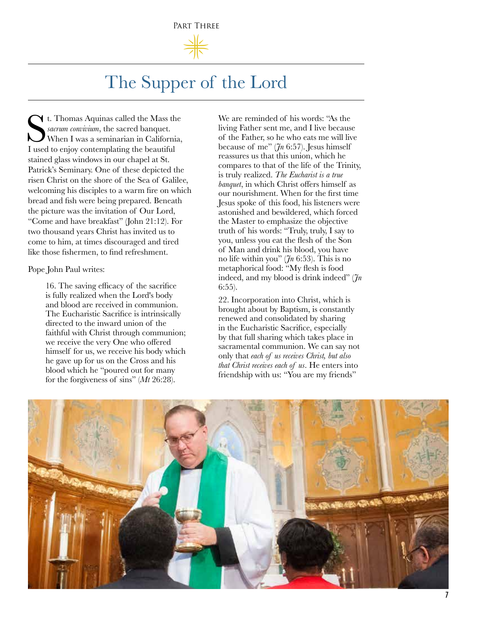

## The Supper of the Lord

 $\blacktriangleright$  t. Thomas Aquinas called the Mass the *sacrum convivium*, the sacred banquet. When I was a seminarian in California, I used to enjoy contemplating the beautiful stained glass windows in our chapel at St. Patrick's Seminary. One of these depicted the risen Christ on the shore of the Sea of Galilee, welcoming his disciples to a warm fire on which bread and fish were being prepared. Beneath the picture was the invitation of Our Lord, "Come and have breakfast" (John 21:12). For two thousand years Christ has invited us to come to him, at times discouraged and tired like those fishermen, to find refreshment.

Pope John Paul writes:

16. The saving efficacy of the sacrifice is fully realized when the Lord's body and blood are received in communion. The Eucharistic Sacrifice is intrinsically directed to the inward union of the faithful with Christ through communion; we receive the very One who offered himself for us, we receive his body which he gave up for us on the Cross and his blood which he "poured out for many for the forgiveness of sins" (*Mt* 26:28).

We are reminded of his words: "As the living Father sent me, and I live because of the Father, so he who eats me will live because of me" (*Jn* 6:57). Jesus himself reassures us that this union, which he compares to that of the life of the Trinity, is truly realized. *The Eucharist is a true banquet*, in which Christ offers himself as our nourishment. When for the first time Jesus spoke of this food, his listeners were astonished and bewildered, which forced the Master to emphasize the objective truth of his words: "Truly, truly, I say to you, unless you eat the flesh of the Son of Man and drink his blood, you have no life within you" (*Jn* 6:53). This is no metaphorical food: "My flesh is food indeed, and my blood is drink indeed" (*Jn* 6:55).

22. Incorporation into Christ, which is brought about by Baptism, is constantly renewed and consolidated by sharing in the Eucharistic Sacrifice, especially by that full sharing which takes place in sacramental communion. We can say not only that *each of us receives Christ, but also that Christ receives each of us*. He enters into friendship with us: "You are my friends"

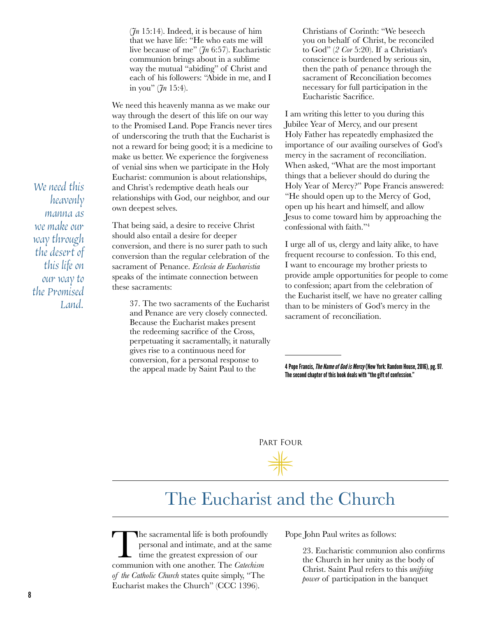$(\mathcal{J}_n 15:14)$ . Indeed, it is because of him that we have life: "He who eats me will live because of me" (*Jn* 6:57). Eucharistic communion brings about in a sublime way the mutual "abiding" of Christ and each of his followers: "Abide in me, and I in you" (*Jn* 15:4).

We need this heavenly manna as we make our way through the desert of this life on our way to the Promised Land. Pope Francis never tires of underscoring the truth that the Eucharist is not a reward for being good; it is a medicine to make us better. We experience the forgiveness of venial sins when we participate in the Holy Eucharist: communion is about relationships, and Christ's redemptive death heals our relationships with God, our neighbor, and our own deepest selves.

That being said, a desire to receive Christ should also entail a desire for deeper conversion, and there is no surer path to such conversion than the regular celebration of the sacrament of Penance. *Ecclesia de Eucharistia* speaks of the intimate connection between these sacraments:

> 37. The two sacraments of the Eucharist and Penance are very closely connected. Because the Eucharist makes present the redeeming sacrifice of the Cross, perpetuating it sacramentally, it naturally gives rise to a continuous need for conversion, for a personal response to the appeal made by Saint Paul to the

Christians of Corinth: "We beseech you on behalf of Christ, be reconciled to God" (*2 Cor* 5:20). If a Christian's conscience is burdened by serious sin, then the path of penance through the sacrament of Reconciliation becomes necessary for full participation in the Eucharistic Sacrifice.

I am writing this letter to you during this Jubilee Year of Mercy, and our present Holy Father has repeatedly emphasized the importance of our availing ourselves of God's mercy in the sacrament of reconciliation. When asked, "What are the most important things that a believer should do during the Holy Year of Mercy?" Pope Francis answered: "He should open up to the Mercy of God, open up his heart and himself, and allow Jesus to come toward him by approaching the confessional with faith."4

I urge all of us, clergy and laity alike, to have frequent recourse to confession. To this end, I want to encourage my brother priests to provide ample opportunities for people to come to confession; apart from the celebration of the Eucharist itself, we have no greater calling than to be ministers of God's mercy in the sacrament of reconciliation.

4 Pope Francis, *The Name of God is Mercy* (New York: Random House, 2016), pg. 97. The second chapter of this book deals with "the gift of confession."

Part Four



### The Eucharist and the Church

The sacramental life is both profoundly<br>personal and intimate, and at the same<br>time the greatest expression of our<br>communion with one another. The *Catechism* personal and intimate, and at the same time the greatest expression of our communion with one another. The *Catechism of the Catholic Church* states quite simply, "The Eucharist makes the Church" (CCC 1396).

Pope John Paul writes as follows:

23. Eucharistic communion also confirms the Church in her unity as the body of Christ. Saint Paul refers to this *unifying power* of participation in the banquet

We need this heavenly manna as we make our way through the desert of this life on our way to the Promised Land.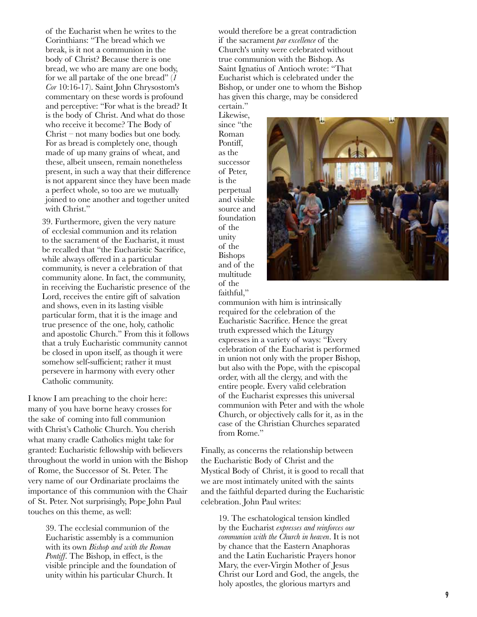of the Eucharist when he writes to the Corinthians: "The bread which we break, is it not a communion in the body of Christ? Because there is one bread, we who are many are one body, for we all partake of the one bread" (*1 Cor* 10:16-17). Saint John Chrysostom's commentary on these words is profound and perceptive: "For what is the bread? It is the body of Christ. And what do those who receive it become? The Body of Christ – not many bodies but one body. For as bread is completely one, though made of up many grains of wheat, and these, albeit unseen, remain nonetheless present, in such a way that their difference is not apparent since they have been made a perfect whole, so too are we mutually joined to one another and together united with Christ."

39. Furthermore, given the very nature of ecclesial communion and its relation to the sacrament of the Eucharist, it must be recalled that "the Eucharistic Sacrifice, while always offered in a particular community, is never a celebration of that community alone. In fact, the community, in receiving the Eucharistic presence of the Lord, receives the entire gift of salvation and shows, even in its lasting visible particular form, that it is the image and true presence of the one, holy, catholic and apostolic Church." From this it follows that a truly Eucharistic community cannot be closed in upon itself, as though it were somehow self-sufficient; rather it must persevere in harmony with every other Catholic community.

I know I am preaching to the choir here: many of you have borne heavy crosses for the sake of coming into full communion with Christ's Catholic Church. You cherish what many cradle Catholics might take for granted: Eucharistic fellowship with believers throughout the world in union with the Bishop of Rome, the Successor of St. Peter. The very name of our Ordinariate proclaims the importance of this communion with the Chair of St. Peter. Not surprisingly, Pope John Paul touches on this theme, as well:

> 39. The ecclesial communion of the Eucharistic assembly is a communion with its own *Bishop and with the Roman Pontiff*. The Bishop, in effect, is the visible principle and the foundation of unity within his particular Church. It

would therefore be a great contradiction if the sacrament *par excellence* of the Church's unity were celebrated without true communion with the Bishop. As Saint Ignatius of Antioch wrote: "That Eucharist which is celebrated under the Bishop, or under one to whom the Bishop has given this charge, may be considered certain."

Likewise, since "the Roman Pontiff, as the successor of Peter, is the perpetual and visible source and foundation of the unity of the Bishops and of the multitude of the faithful,"

communion with him is intrinsically required for the celebration of the Eucharistic Sacrifice. Hence the great truth expressed which the Liturgy expresses in a variety of ways: "Every celebration of the Eucharist is performed in union not only with the proper Bishop, but also with the Pope, with the episcopal order, with all the clergy, and with the entire people. Every valid celebration of the Eucharist expresses this universal communion with Peter and with the whole Church, or objectively calls for it, as in the case of the Christian Churches separated from Rome."

Finally, as concerns the relationship between the Eucharistic Body of Christ and the Mystical Body of Christ, it is good to recall that we are most intimately united with the saints and the faithful departed during the Eucharistic celebration. John Paul writes:

19. The eschatological tension kindled by the Eucharist *expresses and reinforces our communion with the Church in heaven*. It is not by chance that the Eastern Anaphoras and the Latin Eucharistic Prayers honor Mary, the ever-Virgin Mother of Jesus Christ our Lord and God, the angels, the holy apostles, the glorious martyrs and

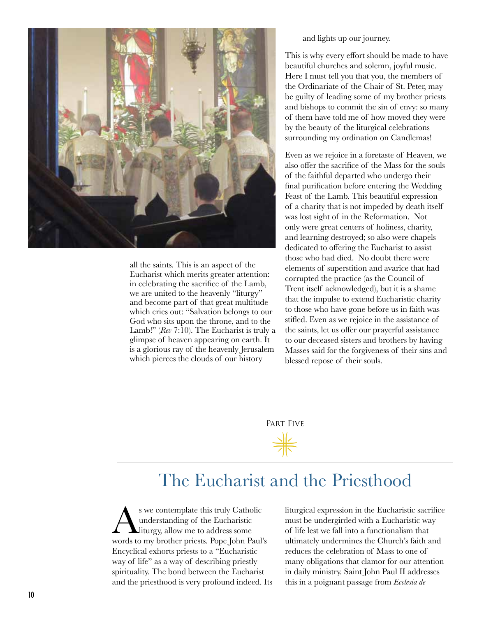

all the saints. This is an aspect of the Eucharist which merits greater attention: in celebrating the sacrifice of the Lamb, we are united to the heavenly "liturgy" and become part of that great multitude which cries out: "Salvation belongs to our God who sits upon the throne, and to the Lamb!" (*Rev* 7:10). The Eucharist is truly a glimpse of heaven appearing on earth. It is a glorious ray of the heavenly Jerusalem which pierces the clouds of our history

and lights up our journey.

This is why every effort should be made to have beautiful churches and solemn, joyful music. Here I must tell you that you, the members of the Ordinariate of the Chair of St. Peter, may be guilty of leading some of my brother priests and bishops to commit the sin of envy: so many of them have told me of how moved they were by the beauty of the liturgical celebrations surrounding my ordination on Candlemas!

Even as we rejoice in a foretaste of Heaven, we also offer the sacrifice of the Mass for the souls of the faithful departed who undergo their final purification before entering the Wedding Feast of the Lamb. This beautiful expression of a charity that is not impeded by death itself was lost sight of in the Reformation. Not only were great centers of holiness, charity, and learning destroyed; so also were chapels dedicated to offering the Eucharist to assist those who had died. No doubt there were elements of superstition and avarice that had corrupted the practice (as the Council of Trent itself acknowledged), but it is a shame that the impulse to extend Eucharistic charity to those who have gone before us in faith was stifled. Even as we rejoice in the assistance of the saints, let us offer our prayerful assistance to our deceased sisters and brothers by having Masses said for the forgiveness of their sins and blessed repose of their souls.

Part Five

 $\frac{1}{\sqrt{2}}$ 

#### The Eucharist and the Priesthood

S we contemplate this truly Catholic<br>
understanding of the Eucharistic<br>
words to my brother priests. Pope John Paul's understanding of the Eucharistic liturgy, allow me to address some Encyclical exhorts priests to a "Eucharistic way of life" as a way of describing priestly spirituality. The bond between the Eucharist and the priesthood is very profound indeed. Its

liturgical expression in the Eucharistic sacrifice must be undergirded with a Eucharistic way of life lest we fall into a functionalism that ultimately undermines the Church's faith and reduces the celebration of Mass to one of many obligations that clamor for our attention in daily ministry. Saint John Paul II addresses this in a poignant passage from *Ecclesia de*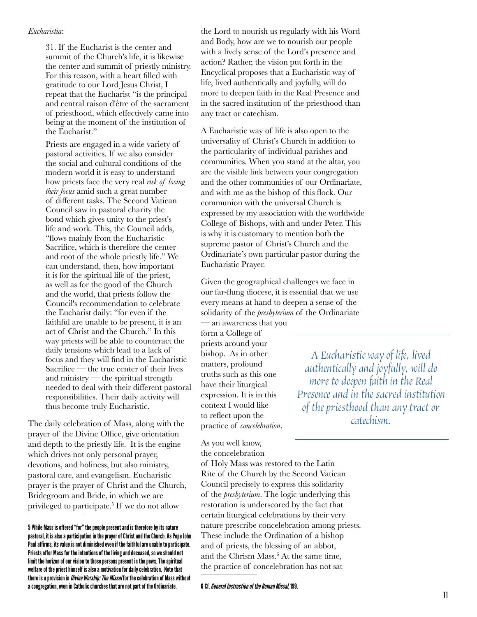#### *Eucharistia*:

31. If the Eucharist is the center and summit of the Church's life, it is likewise the center and summit of priestly ministry. For this reason, with a heart filled with gratitude to our Lord Jesus Christ, I repeat that the Eucharist "is the principal and central raison d'être of the sacrament of priesthood, which effectively came into being at the moment of the institution of the Eucharist."

Priests are engaged in a wide variety of pastoral activities. If we also consider the social and cultural conditions of the modern world it is easy to understand how priests face the very real *risk of losing their focus* amid such a great number of different tasks. The Second Vatican Council saw in pastoral charity the bond which gives unity to the priest's life and work. This, the Council adds, "flows mainly from the Eucharistic Sacrifice, which is therefore the center and root of the whole priestly life." We can understand, then, how important it is for the spiritual life of the priest, as well as for the good of the Church and the world, that priests follow the Council's recommendation to celebrate the Eucharist daily: "for even if the faithful are unable to be present, it is an act of Christ and the Church." In this way priests will be able to counteract the daily tensions which lead to a lack of focus and they will find in the Eucharistic Sacrifice — the true center of their lives and ministry — the spiritual strength needed to deal with their different pastoral responsibilities. Their daily activity will thus become truly Eucharistic.

The daily celebration of Mass, along with the prayer of the Divine Office, give orientation and depth to the priestly life. It is the engine which drives not only personal prayer, devotions, and holiness, but also ministry, pastoral care, and evangelism. Eucharistic prayer is the prayer of Christ and the Church, Bridegroom and Bride, in which we are privileged to participate.<sup>5</sup> If we do not allow

the Lord to nourish us regularly with his Word and Body, how are we to nourish our people with a lively sense of the Lord's presence and action? Rather, the vision put forth in the Encyclical proposes that a Eucharistic way of life, lived authentically and joyfully, will do more to deepen faith in the Real Presence and in the sacred institution of the priesthood than any tract or catechism.

A Eucharistic way of life is also open to the universality of Christ's Church in addition to the particularity of individual parishes and communities. When you stand at the altar, you are the visible link between your congregation and the other communities of our Ordinariate, and with me as the bishop of this flock. Our communion with the universal Church is expressed by my association with the worldwide College of Bishops, with and under Peter. This is why it is customary to mention both the supreme pastor of Christ's Church and the Ordinariate's own particular pastor during the Eucharistic Prayer.

Given the geographical challenges we face in our far-flung diocese, it is essential that we use every means at hand to deepen a sense of the solidarity of the *presbyterium* of the Ordinariate

— an awareness that you form a College of priests around your bishop. As in other matters, profound truths such as this one have their liturgical expression. It is in this context I would like to reflect upon the practice of *concelebration*.

As you well know, the concelebration

of Holy Mass was restored to the Latin Rite of the Church by the Second Vatican Council precisely to express this solidarity of the *presbyterium*. The logic underlying this restoration is underscored by the fact that certain liturgical celebrations by their very nature prescribe concelebration among priests. These include the Ordination of a bishop and of priests, the blessing of an abbot, and the Chrism Mass.6 At the same time, the practice of concelebration has not sat

A Eucharistic way of life, lived authentically and joyfully, will do more to deepen faith in the Real Presence and in the sacred institution of the priesthood than any tract or catechism.

<sup>5</sup> While Mass is offered "for" the people present and is therefore by its nature pastoral, it is also a participation in the prayer of Christ and the Church. As Pope John Paul affirms, its value is not diminished even if the faithful are unable to participate. Priests offer Mass for the intentions of the living and deceased, so we should not limit the horizon of our vision to those persons present in the pews. The spiritual welfare of the priest himself is also a motivation for daily celebration. Note that there is a provision in *Divine Worship: The Missal* for the celebration of Mass without a congregation, even in Catholic churches that are not part of the Ordinariate.

<sup>6</sup> Cf. *General Instruction of the Roman Missal*, 199.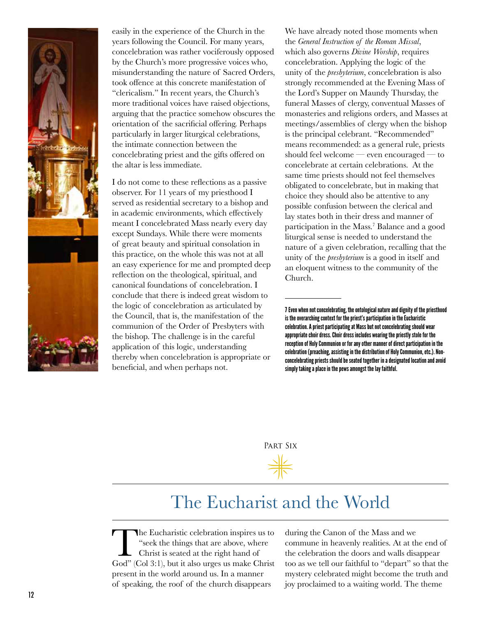

easily in the experience of the Church in the years following the Council. For many years, concelebration was rather vociferously opposed by the Church's more progressive voices who, misunderstanding the nature of Sacred Orders, took offence at this concrete manifestation of "clericalism." In recent years, the Church's more traditional voices have raised objections, arguing that the practice somehow obscures the orientation of the sacrificial offering. Perhaps particularly in larger liturgical celebrations, the intimate connection between the concelebrating priest and the gifts offered on the altar is less immediate.

I do not come to these reflections as a passive observer. For 11 years of my priesthood I served as residential secretary to a bishop and in academic environments, which effectively meant I concelebrated Mass nearly every day except Sundays. While there were moments of great beauty and spiritual consolation in this practice, on the whole this was not at all an easy experience for me and prompted deep reflection on the theological, spiritual, and canonical foundations of concelebration. I conclude that there is indeed great wisdom to the logic of concelebration as articulated by the Council, that is, the manifestation of the communion of the Order of Presbyters with the bishop. The challenge is in the careful application of this logic, understanding thereby when concelebration is appropriate or beneficial, and when perhaps not.

We have already noted those moments when the *General Instruction of the Roman Missal*, which also governs *Divine Worship*, requires concelebration. Applying the logic of the unity of the *presbyterium*, concelebration is also strongly recommended at the Evening Mass of the Lord's Supper on Maundy Thursday, the funeral Masses of clergy, conventual Masses of monasteries and religions orders, and Masses at meetings/assemblies of clergy when the bishop is the principal celebrant. "Recommended" means recommended: as a general rule, priests should feel welcome — even encouraged — to concelebrate at certain celebrations. At the same time priests should not feel themselves obligated to concelebrate, but in making that choice they should also be attentive to any possible confusion between the clerical and lay states both in their dress and manner of participation in the Mass.7 Balance and a good liturgical sense is needed to understand the nature of a given celebration, recalling that the unity of the *presbyterium* is a good in itself and an eloquent witness to the community of the Church.

7 Even when not concelebrating, the ontological nature and dignity of the priesthood is the overarching context for the priest's participation in the Eucharistic celebration. A priest participating at Mass but not concelebrating should wear appropriate choir dress. Choir dress includes wearing the priestly stole for the reception of Holy Communion or for any other manner of direct participation in the celebration (preaching, assisting in the distribution of Holy Communion, etc.). Nonconcelebrating priests should be seated together in a designated location and avoid simply taking a place in the pews amongst the lay faithful.

Part Six



## The Eucharist and the World

The Eucharistic celebration inspires us to<br>
"seek the things that are above, where<br>
Christ is seated at the right hand of<br>
God" (Col 3:1), but it also urges us make Christ "seek the things that are above, where Christ is seated at the right hand of God" (Col 3:1), but it also urges us make Christ present in the world around us. In a manner of speaking, the roof of the church disappears

during the Canon of the Mass and we commune in heavenly realities. At at the end of the celebration the doors and walls disappear too as we tell our faithful to "depart" so that the mystery celebrated might become the truth and joy proclaimed to a waiting world. The theme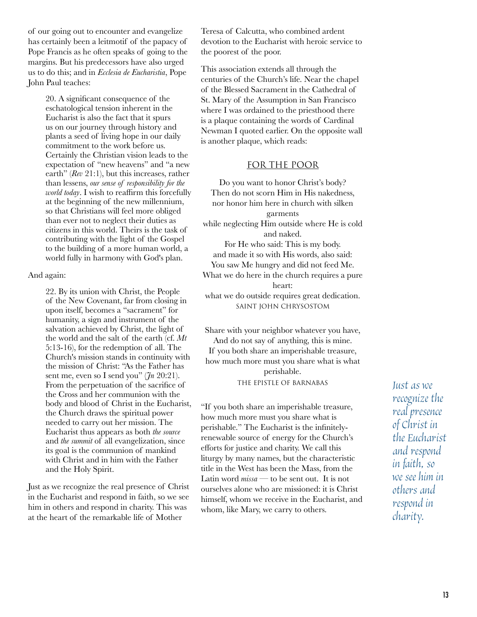of our going out to encounter and evangelize has certainly been a leitmotif of the papacy of Pope Francis as he often speaks of going to the margins. But his predecessors have also urged us to do this; and in *Ecclesia de Eucharistia*, Pope John Paul teaches:

> 20. A significant consequence of the eschatological tension inherent in the Eucharist is also the fact that it spurs us on our journey through history and plants a seed of living hope in our daily commitment to the work before us. Certainly the Christian vision leads to the expectation of "new heavens" and "a new earth" (*Rev* 21:1), but this increases, rather than lessens, *our sense of responsibility for the world today*. I wish to reaffirm this forcefully at the beginning of the new millennium, so that Christians will feel more obliged than ever not to neglect their duties as citizens in this world. Theirs is the task of contributing with the light of the Gospel to the building of a more human world, a world fully in harmony with God's plan.

And again:

22. By its union with Christ, the People of the New Covenant, far from closing in upon itself, becomes a "sacrament" for humanity, a sign and instrument of the salvation achieved by Christ, the light of the world and the salt of the earth (cf. *Mt* 5:13-16), for the redemption of all. The Church's mission stands in continuity with the mission of Christ: "As the Father has sent me, even so I send you" ( $\mathcal{F}_n$  20:21). From the perpetuation of the sacrifice of the Cross and her communion with the body and blood of Christ in the Eucharist, the Church draws the spiritual power needed to carry out her mission. The Eucharist thus appears as both *the source* and *the summit* of all evangelization, since its goal is the communion of mankind with Christ and in him with the Father and the Holy Spirit.

Just as we recognize the real presence of Christ in the Eucharist and respond in faith, so we see him in others and respond in charity. This was at the heart of the remarkable life of Mother

Teresa of Calcutta, who combined ardent devotion to the Eucharist with heroic service to the poorest of the poor.

This association extends all through the centuries of the Church's life. Near the chapel of the Blessed Sacrament in the Cathedral of St. Mary of the Assumption in San Francisco where I was ordained to the priesthood there is a plaque containing the words of Cardinal Newman I quoted earlier. On the opposite wall is another plaque, which reads:

#### FOR THE POOR

Do you want to honor Christ's body? Then do not scorn Him in His nakedness, nor honor him here in church with silken garments while neglecting Him outside where He is cold and naked. For He who said: This is my body. and made it so with His words, also said: You saw Me hungry and did not feed Me. What we do here in the church requires a pure heart: what we do outside requires great dedication. SAINT JOHN CHRYSOSTOM

Share with your neighbor whatever you have, And do not say of anything, this is mine. If you both share an imperishable treasure, how much more must you share what is what perishable. THE EPISTLE OF BARNABAS

"If you both share an imperishable treasure, how much more must you share what is perishable." The Eucharist is the infinitelyrenewable source of energy for the Church's efforts for justice and charity. We call this liturgy by many names, but the characteristic title in the West has been the Mass, from the Latin word *missa* — to be sent out. It is not ourselves alone who are missioned: it is Christ himself, whom we receive in the Eucharist, and whom, like Mary, we carry to others.

Just as we recognize the real presence of Christ in the Eucharist and respond in faith, so we see him in others and respond in charity.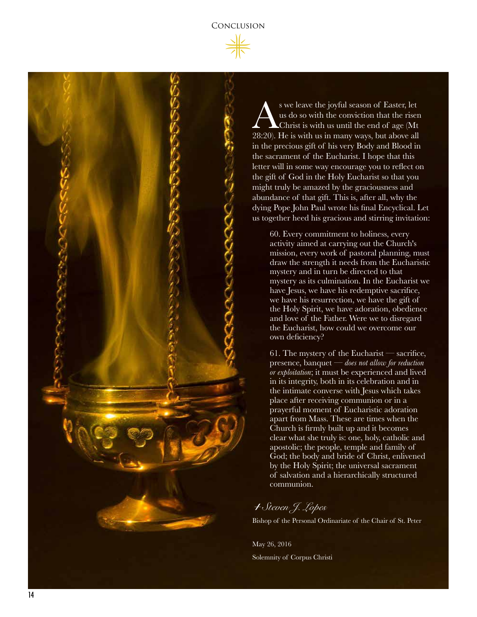

s we leave the joyful season of Easter, let us do so with the conviction that the risen Christ is with us until the end of age (Mt 28:20). He is with us in many ways, but above all us do so with the conviction that the risen Christ is with us until the end of age (Mt in the precious gift of his very Body and Blood in the sacrament of the Eucharist. I hope that this letter will in some way encourage you to reflect on the gift of God in the Holy Eucharist so that you might truly be amazed by the graciousness and abundance of that gift. This is, after all, why the dying Pope John Paul wrote his final Encyclical. Let us together heed his gracious and stirring invitation:

60. Every commitment to holiness, every activity aimed at carrying out the Church's mission, every work of pastoral planning, must draw the strength it needs from the Eucharistic mystery and in turn be directed to that mystery as its culmination. In the Eucharist we have Jesus, we have his redemptive sacrifice, we have his resurrection, we have the gift of the Holy Spirit, we have adoration, obedience and love of the Father. Were we to disregard the Eucharist, how could we overcome our own deficiency?

61. The mystery of the Eucharist — sacrifice, presence, banquet — *does not allow for reduction or exploitation*; it must be experienced and lived in its integrity, both in its celebration and in the intimate converse with Jesus which takes place after receiving communion or in a prayerful moment of Eucharistic adoration apart from Mass. These are times when the Church is firmly built up and it becomes clear what she truly is: one, holy, catholic and apostolic; the people, temple and family of God; the body and bride of Christ, enlivened by the Holy Spirit; the universal sacrament of salvation and a hierarchically structured communion.

*+Steven J. Lopes*

Bishop of the Personal Ordinariate of the Chair of St. Peter

May 26, 2016 Solemnity of Corpus Christi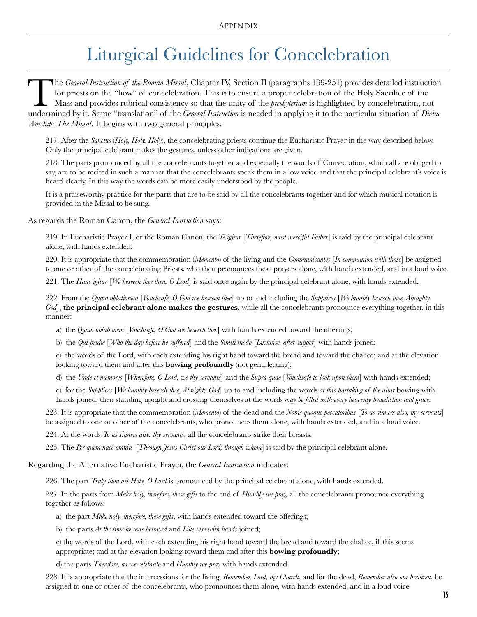### Liturgical Guidelines for Concelebration

The *General Instruction of the Roman Missal*, Chapter IV, Section II (paragraphs 199-251) provides detailed instruction for priests on the "how" of concelebration. This is to ensure a proper celebration of the Holy Sacrifice of the Mass and provides rubrical consistency so that the unity of the *presbyterium* is highlighted by concelebration, not undermined by it. Some "translation" of the *General Instruction* is needed in applying it to the particular situation of *Divine Worship: The Missal*. It begins with two general principles:

217. After the *Sanctus* (*Holy, Holy, Holy*), the concelebrating priests continue the Eucharistic Prayer in the way described below. Only the principal celebrant makes the gestures, unless other indications are given.

218. The parts pronounced by all the concelebrants together and especially the words of Consecration, which all are obliged to say, are to be recited in such a manner that the concelebrants speak them in a low voice and that the principal celebrant's voice is heard clearly. In this way the words can be more easily understood by the people.

It is a praiseworthy practice for the parts that are to be said by all the concelebrants together and for which musical notation is provided in the Missal to be sung.

As regards the Roman Canon, the *General Instruction* says:

219. In Eucharistic Prayer I, or the Roman Canon, the *Te igitur* [*Therefore, most merciful Father*] is said by the principal celebrant alone, with hands extended.

220. It is appropriate that the commemoration (*Memento*) of the living and the *Communicantes* [*In communion with those*] be assigned to one or other of the concelebrating Priests, who then pronounces these prayers alone, with hands extended, and in a loud voice.

221. The *Hanc igitur* [*We beseech thee then, O Lord*] is said once again by the principal celebrant alone, with hands extended.

222. From the *Quam oblationem* [*Vouchsafe, O God we beseech thee*] up to and including the *Supplices* [*We humbly beseech thee, Almighty God*], **the principal celebrant alone makes the gestures**, while all the concelebrants pronounce everything together, in this manner:

a) the *Quam oblationem* [*Vouchsafe, O God we beseech thee*] with hands extended toward the offerings;

b) the *Qui pridie* [*Who the day before he suffered*] and the *Simili modo* [*Likewise, after supper*] with hands joined;

c) the words of the Lord, with each extending his right hand toward the bread and toward the chalice; and at the elevation looking toward them and after this **bowing profoundly** (not genuflecting);

d) the *Unde et memores* [*Wherefore, O Lord, we thy servants*] and the *Supra quae* [*Vouchsafe to look upon them*] with hands extended;

e) for the *Supplices* [*We humbly beseech thee, Almighty God*] up to and including the words *at this partaking of the altar* bowing with hands joined; then standing upright and crossing themselves at the words *may be filled with every heavenly benediction and grace*.

223. It is appropriate that the commemoration (*Memento*) of the dead and the *Nobis quoque peccatoribus* [*To us sinners also, thy servants*] be assigned to one or other of the concelebrants, who pronounces them alone, with hands extended, and in a loud voice.

224. At the words *To us sinners also, thy servants*, all the concelebrants strike their breasts.

225. The *Per quem haec omnia* [*Through Jesus Christ our Lord; through whom*] is said by the principal celebrant alone.

Regarding the Alternative Eucharistic Prayer, the *General Instruction* indicates:

226. The part *Truly thou art Holy, O Lord* is pronounced by the principal celebrant alone, with hands extended.

227. In the parts from *Make holy, therefore, these gifts* to the end of *Humbly we pray,* all the concelebrants pronounce everything together as follows:

a) the part *Make holy, therefore, these gifts*, with hands extended toward the offerings;

b) the parts *At the time he was betrayed* and *Likewise with hands* joined;

c) the words of the Lord, with each extending his right hand toward the bread and toward the chalice, if this seems appropriate; and at the elevation looking toward them and after this **bowing profoundly**;

d) the parts *Therefore, as we celebrate* and *Humbly we pray* with hands extended.

228. It is appropriate that the intercessions for the living, *Remember, Lord, thy Church*, and for the dead, *Remember also our brethren*, be assigned to one or other of the concelebrants, who pronounces them alone, with hands extended, and in a loud voice.